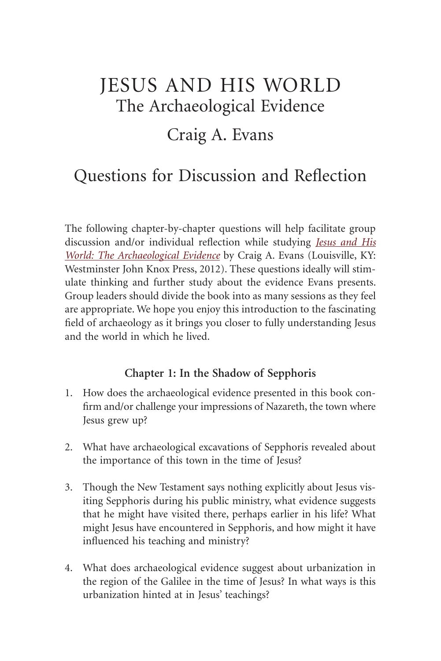# Jesus and His World The Archaeological Evidence

## Craig A. Evans

# Questions for Discussion and Reflection

The following chapter-by-chapter questions will help facilitate group discussion and/or individual reflection while studying *Jesus and His World: The Archaeological Evidence* by Craig A. Evans (Louisville, KY: Westminster John Knox Press, 2012). These questions ideally will stimulate thinking and further study about the evidence Evans presents. Group leaders should divide the book into as many sessions as they feel are appropriate. We hope you enjoy this introduction to the fascinating field of archaeology as it brings you closer to fully understanding Jesus and the world in which he lived.

#### **Chapter 1: In the Shadow of Sepphoris**

- 1. How does the archaeological evidence presented in this book confirm and/or challenge your impressions of Nazareth, the town where Jesus grew up?
- 2. What have archaeological excavations of Sepphoris revealed about the importance of this town in the time of Jesus?
- 3. Though the New Testament says nothing explicitly about Jesus visiting Sepphoris during his public ministry, what evidence suggests that he might have visited there, perhaps earlier in his life? What might Jesus have encountered in Sepphoris, and how might it have influenced his teaching and ministry?
- 4. What does archaeological evidence suggest about urbanization in the region of the Galilee in the time of Jesus? In what ways is this urbanization hinted at in Jesus' teachings?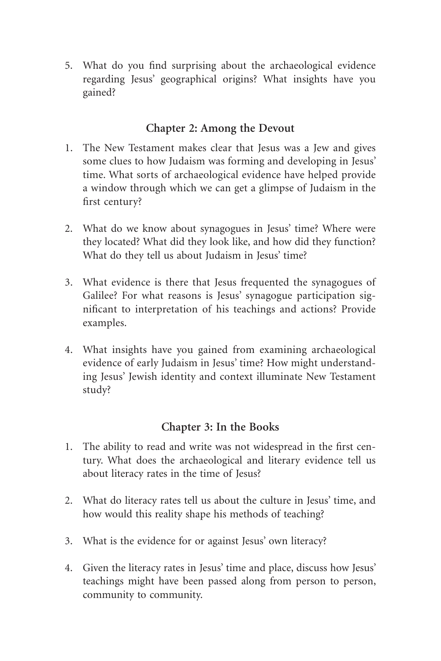5. What do you find surprising about the archaeological evidence regarding Jesus' geographical origins? What insights have you gained?

#### **Chapter 2: Among the Devout**

- 1. The New Testament makes clear that Jesus was a Jew and gives some clues to how Judaism was forming and developing in Jesus' time. What sorts of archaeological evidence have helped provide a window through which we can get a glimpse of Judaism in the first century?
- 2. What do we know about synagogues in Jesus' time? Where were they located? What did they look like, and how did they function? What do they tell us about Judaism in Jesus' time?
- 3. What evidence is there that Jesus frequented the synagogues of Galilee? For what reasons is Jesus' synagogue participation significant to interpretation of his teachings and actions? Provide examples.
- 4. What insights have you gained from examining archaeological evidence of early Judaism in Jesus' time? How might understanding Jesus' Jewish identity and context illuminate New Testament study?

#### **Chapter 3: In the Books**

- 1. The ability to read and write was not widespread in the first century. What does the archaeological and literary evidence tell us about literacy rates in the time of Jesus?
- 2. What do literacy rates tell us about the culture in Jesus' time, and how would this reality shape his methods of teaching?
- 3. What is the evidence for or against Jesus' own literacy?
- 4. Given the literacy rates in Jesus' time and place, discuss how Jesus' teachings might have been passed along from person to person, community to community.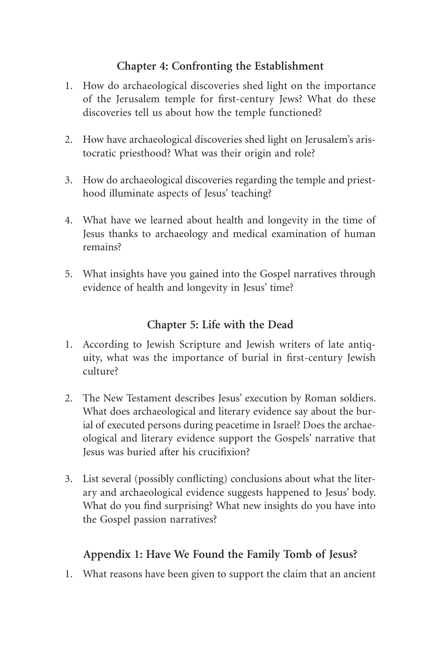#### **Chapter 4: Confronting the Establishment**

- 1. How do archaeological discoveries shed light on the importance of the Jerusalem temple for first-century Jews? What do these discoveries tell us about how the temple functioned?
- 2. How have archaeological discoveries shed light on Jerusalem's aristocratic priesthood? What was their origin and role?
- 3. How do archaeological discoveries regarding the temple and priesthood illuminate aspects of Jesus' teaching?
- 4. What have we learned about health and longevity in the time of Jesus thanks to archaeology and medical examination of human remains?
- 5. What insights have you gained into the Gospel narratives through evidence of health and longevity in Jesus' time?

### **Chapter 5: Life with the Dead**

- 1. According to Jewish Scripture and Jewish writers of late antiquity, what was the importance of burial in first-century Jewish culture?
- 2. The New Testament describes Jesus' execution by Roman soldiers. What does archaeological and literary evidence say about the burial of executed persons during peacetime in Israel? Does the archaeological and literary evidence support the Gospels' narrative that Jesus was buried after his crucifixion?
- 3. List several (possibly conflicting) conclusions about what the literary and archaeological evidence suggests happened to Jesus' body. What do you find surprising? What new insights do you have into the Gospel passion narratives?

### **Appendix 1: Have We Found the Family Tomb of Jesus?**

1. What reasons have been given to support the claim that an ancient